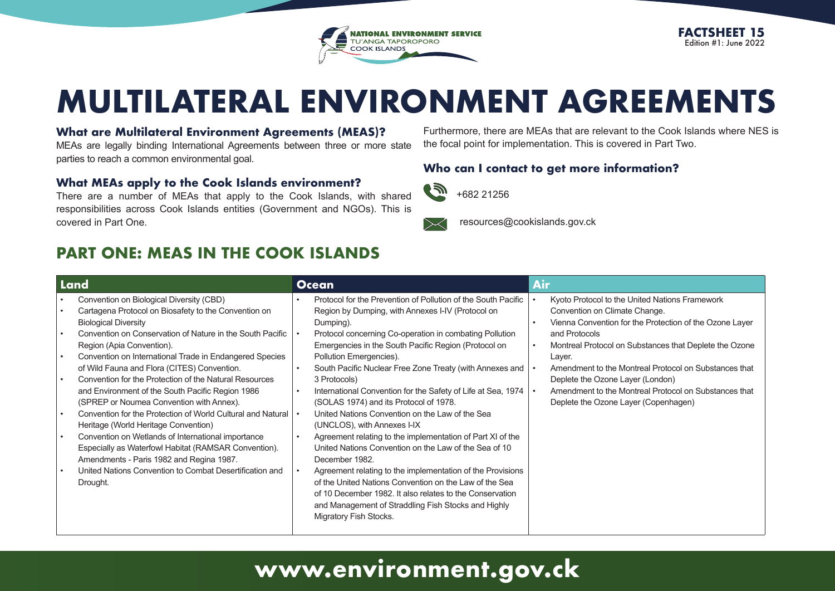

# **MULTILATERAL ENVIRONMENT AGREEMENTS**

ſ

#### **What are Multilateral Environment Agreements (MEAS)?**

MEAs are legally binding International Agreements between three or more state parties to reach a common environmental goal.

#### **What MEAs apply to the Cook Islands environment?**

There are a number of MEAs that apply to the Cook Islands, with shared responsibilities across Cook Islands entities (Government and NGOs). This is covered in Part One.

## **PART ONE: MEAS IN THE COOK ISLANDS**

Furthermore, there are MEAs that are relevant to the Cook Islands where NES is the focal point for implementation. This is covered in Part Two.

#### **Who can I contact to get more information?**



resources@cookislands.gov.ck

| Land                   |                                                                                                                                                                                                                                                                  | <b>Ocean</b> |                                                                                                                                                                                                                                                                   | <b>Air</b>                                                                                                                                                                                                            |  |
|------------------------|------------------------------------------------------------------------------------------------------------------------------------------------------------------------------------------------------------------------------------------------------------------|--------------|-------------------------------------------------------------------------------------------------------------------------------------------------------------------------------------------------------------------------------------------------------------------|-----------------------------------------------------------------------------------------------------------------------------------------------------------------------------------------------------------------------|--|
| $\bullet$<br>$\bullet$ | Convention on Biological Diversity (CBD)<br>Cartagena Protocol on Biosafety to the Convention on<br><b>Biological Diversity</b><br>Convention on Conservation of Nature in the South Pacific<br>Region (Apia Convention).                                        |              | Protocol for the Prevention of Pollution of the South Pacific<br>Region by Dumping, with Annexes I-IV (Protocol on<br>Dumping).<br>Protocol concerning Co-operation in combating Pollution<br>Emergencies in the South Pacific Region (Protocol on                | Kyoto Protocol to the United Nations Framework<br>Convention on Climate Change.<br>Vienna Convention for the Protection of the Ozone Layer<br>and Protocols<br>Montreal Protocol on Substances that Deplete the Ozone |  |
| $\bullet$<br>$\bullet$ | Convention on International Trade in Endangered Species<br>of Wild Fauna and Flora (CITES) Convention.<br>Convention for the Protection of the Natural Resources<br>and Environment of the South Pacific Region 1986<br>(SPREP or Noumea Convention with Annex). |              | Pollution Emergencies).<br>South Pacific Nuclear Free Zone Treaty (with Annexes and<br>3 Protocols)<br>International Convention for the Safety of Life at Sea, 1974<br>(SOLAS 1974) and its Protocol of 1978.                                                     | Layer.<br>Amendment to the Montreal Protocol on Substances that<br>Deplete the Ozone Layer (London)<br>Amendment to the Montreal Protocol on Substances that<br>Deplete the Ozone Layer (Copenhagen)                  |  |
|                        | Convention for the Protection of World Cultural and Natural<br>Heritage (World Heritage Convention)                                                                                                                                                              |              | United Nations Convention on the Law of the Sea<br>(UNCLOS), with Annexes I-IX                                                                                                                                                                                    |                                                                                                                                                                                                                       |  |
| $\bullet$              | Convention on Wetlands of International importance<br>Especially as Waterfowl Habitat (RAMSAR Convention).<br>Amendments - Paris 1982 and Regina 1987.                                                                                                           |              | Agreement relating to the implementation of Part XI of the<br>United Nations Convention on the Law of the Sea of 10<br>December 1982.                                                                                                                             |                                                                                                                                                                                                                       |  |
|                        | United Nations Convention to Combat Desertification and<br>Drought.                                                                                                                                                                                              |              | Agreement relating to the implementation of the Provisions<br>of the United Nations Convention on the Law of the Sea<br>of 10 December 1982. It also relates to the Conservation<br>and Management of Straddling Fish Stocks and Highly<br>Migratory Fish Stocks. |                                                                                                                                                                                                                       |  |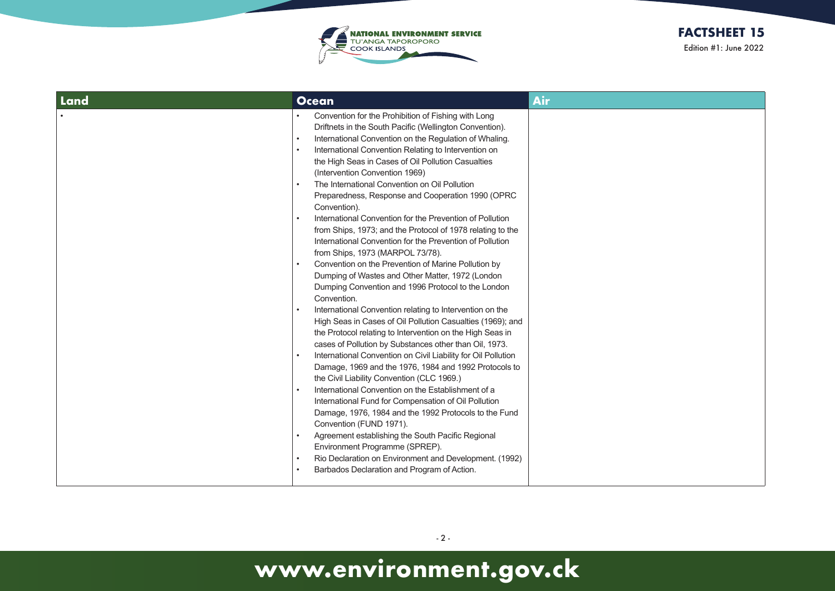

| Land | <b>Ocean</b>                                                                                                                                                                                                                                                                                                                                                                                                                                                                                                                                                                                                                                                                                                                                                                                                                                                                                                                                                                                                                                                                                                                                                                                                                                                                                                                                                                                                                                                                                                                                                                                                                                                                                                  | <b>Air</b> |
|------|---------------------------------------------------------------------------------------------------------------------------------------------------------------------------------------------------------------------------------------------------------------------------------------------------------------------------------------------------------------------------------------------------------------------------------------------------------------------------------------------------------------------------------------------------------------------------------------------------------------------------------------------------------------------------------------------------------------------------------------------------------------------------------------------------------------------------------------------------------------------------------------------------------------------------------------------------------------------------------------------------------------------------------------------------------------------------------------------------------------------------------------------------------------------------------------------------------------------------------------------------------------------------------------------------------------------------------------------------------------------------------------------------------------------------------------------------------------------------------------------------------------------------------------------------------------------------------------------------------------------------------------------------------------------------------------------------------------|------------|
|      | Convention for the Prohibition of Fishing with Long<br>Driftnets in the South Pacific (Wellington Convention).<br>International Convention on the Regulation of Whaling.<br>International Convention Relating to Intervention on<br>the High Seas in Cases of Oil Pollution Casualties<br>(Intervention Convention 1969)<br>The International Convention on Oil Pollution<br>Preparedness, Response and Cooperation 1990 (OPRC<br>Convention).<br>International Convention for the Prevention of Pollution<br>from Ships, 1973; and the Protocol of 1978 relating to the<br>International Convention for the Prevention of Pollution<br>from Ships, 1973 (MARPOL 73/78).<br>Convention on the Prevention of Marine Pollution by<br>Dumping of Wastes and Other Matter, 1972 (London<br>Dumping Convention and 1996 Protocol to the London<br>Convention.<br>International Convention relating to Intervention on the<br>High Seas in Cases of Oil Pollution Casualties (1969); and<br>the Protocol relating to Intervention on the High Seas in<br>cases of Pollution by Substances other than Oil, 1973.<br>International Convention on Civil Liability for Oil Pollution<br>Damage, 1969 and the 1976, 1984 and 1992 Protocols to<br>the Civil Liability Convention (CLC 1969.)<br>International Convention on the Establishment of a<br>$\bullet$<br>International Fund for Compensation of Oil Pollution<br>Damage, 1976, 1984 and the 1992 Protocols to the Fund<br>Convention (FUND 1971).<br>Agreement establishing the South Pacific Regional<br>Environment Programme (SPREP).<br>Rio Declaration on Environment and Development. (1992)<br>$\bullet$<br>Barbados Declaration and Program of Action. |            |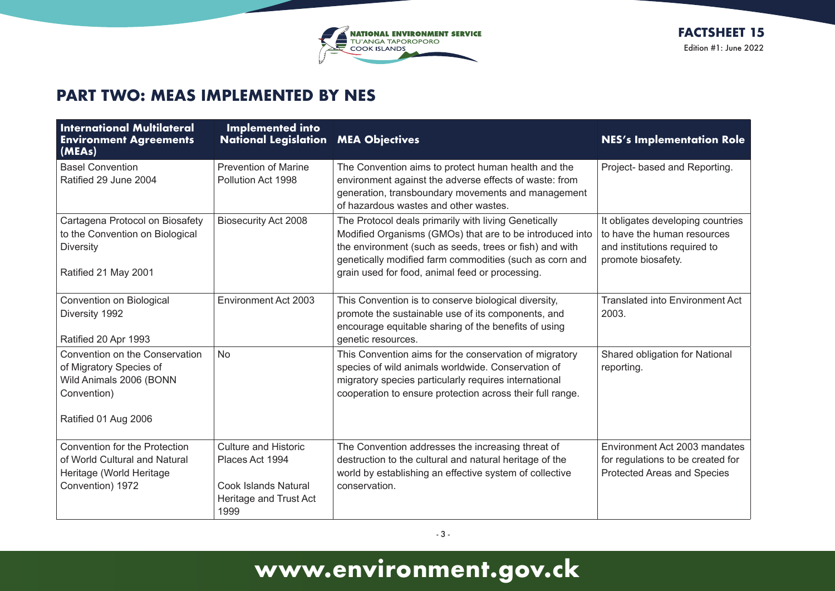

### **PART TWO: MEAS IMPLEMENTED BY NES**

| <b>International Multilateral</b><br><b>Environment Agreements</b><br>(MEAs)                                                | <b>Implemented into</b><br><b>National Legislation</b>                                                          | <b>MEA Objectives</b>                                                                                                                                                                                                                                                                     | <b>NES's Implementation Role</b>                                                                                       |
|-----------------------------------------------------------------------------------------------------------------------------|-----------------------------------------------------------------------------------------------------------------|-------------------------------------------------------------------------------------------------------------------------------------------------------------------------------------------------------------------------------------------------------------------------------------------|------------------------------------------------------------------------------------------------------------------------|
| <b>Basel Convention</b><br>Ratified 29 June 2004                                                                            | <b>Prevention of Marine</b><br>Pollution Act 1998                                                               | The Convention aims to protect human health and the<br>environment against the adverse effects of waste: from<br>generation, transboundary movements and management<br>of hazardous wastes and other wastes.                                                                              | Project- based and Reporting.                                                                                          |
| Cartagena Protocol on Biosafety<br>to the Convention on Biological<br><b>Diversity</b><br>Ratified 21 May 2001              | <b>Biosecurity Act 2008</b>                                                                                     | The Protocol deals primarily with living Genetically<br>Modified Organisms (GMOs) that are to be introduced into<br>the environment (such as seeds, trees or fish) and with<br>genetically modified farm commodities (such as corn and<br>grain used for food, animal feed or processing. | It obligates developing countries<br>to have the human resources<br>and institutions required to<br>promote biosafety. |
| Convention on Biological<br>Diversity 1992<br>Ratified 20 Apr 1993                                                          | Environment Act 2003                                                                                            | This Convention is to conserve biological diversity,<br>promote the sustainable use of its components, and<br>encourage equitable sharing of the benefits of using<br>genetic resources.                                                                                                  | <b>Translated into Environment Act</b><br>2003.                                                                        |
| Convention on the Conservation<br>of Migratory Species of<br>Wild Animals 2006 (BONN<br>Convention)<br>Ratified 01 Aug 2006 | <b>No</b>                                                                                                       | This Convention aims for the conservation of migratory<br>species of wild animals worldwide. Conservation of<br>migratory species particularly requires international<br>cooperation to ensure protection across their full range.                                                        | Shared obligation for National<br>reporting.                                                                           |
| <b>Convention for the Protection</b><br>of World Cultural and Natural<br>Heritage (World Heritage<br>Convention) 1972       | <b>Culture and Historic</b><br>Places Act 1994<br><b>Cook Islands Natural</b><br>Heritage and Trust Act<br>1999 | The Convention addresses the increasing threat of<br>destruction to the cultural and natural heritage of the<br>world by establishing an effective system of collective<br>conservation.                                                                                                  | Environment Act 2003 mandates<br>for regulations to be created for<br><b>Protected Areas and Species</b>               |

- 3 -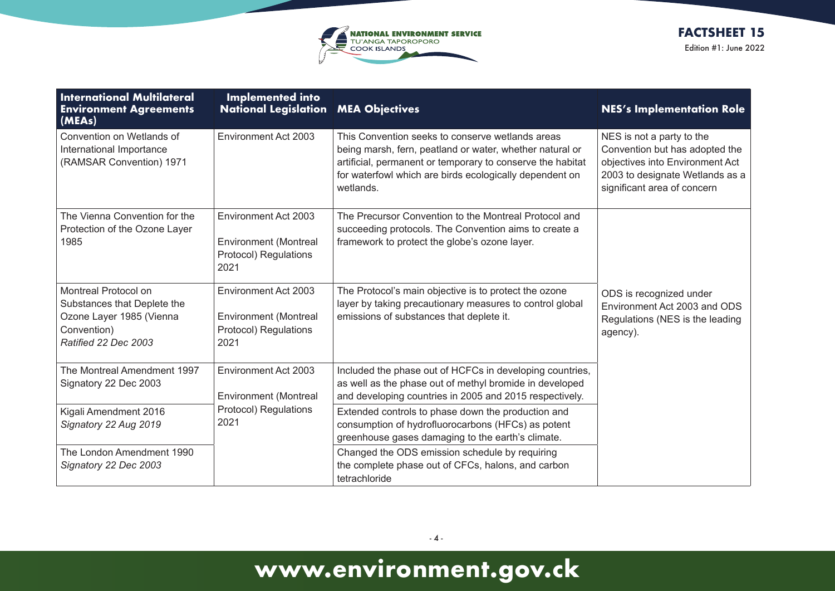

| <b>International Multilateral</b><br><b>Environment Agreements</b><br>(MEAs)                                           | <b>Implemented into</b><br><b>National Legislation MEA Objectives</b>                 |                                                                                                                                                                                                                                                    | <b>NES's Implementation Role</b>                                                                                                                                 |
|------------------------------------------------------------------------------------------------------------------------|---------------------------------------------------------------------------------------|----------------------------------------------------------------------------------------------------------------------------------------------------------------------------------------------------------------------------------------------------|------------------------------------------------------------------------------------------------------------------------------------------------------------------|
| Convention on Wetlands of<br>International Importance<br>(RAMSAR Convention) 1971                                      | Environment Act 2003                                                                  | This Convention seeks to conserve wetlands areas<br>being marsh, fern, peatland or water, whether natural or<br>artificial, permanent or temporary to conserve the habitat<br>for waterfowl which are birds ecologically dependent on<br>wetlands. | NES is not a party to the<br>Convention but has adopted the<br>objectives into Environment Act<br>2003 to designate Wetlands as a<br>significant area of concern |
| The Vienna Convention for the<br>Protection of the Ozone Layer<br>1985                                                 | Environment Act 2003<br><b>Environment (Montreal</b><br>Protocol) Regulations<br>2021 | The Precursor Convention to the Montreal Protocol and<br>succeeding protocols. The Convention aims to create a<br>framework to protect the globe's ozone layer.                                                                                    |                                                                                                                                                                  |
| Montreal Protocol on<br>Substances that Deplete the<br>Ozone Layer 1985 (Vienna<br>Convention)<br>Ratified 22 Dec 2003 | Environment Act 2003<br><b>Environment (Montreal</b><br>Protocol) Regulations<br>2021 | The Protocol's main objective is to protect the ozone<br>layer by taking precautionary measures to control global<br>emissions of substances that deplete it.                                                                                      | ODS is recognized under<br>Environment Act 2003 and ODS<br>Regulations (NES is the leading<br>agency).                                                           |
| The Montreal Amendment 1997<br>Signatory 22 Dec 2003                                                                   | Environment Act 2003<br><b>Environment (Montreal</b>                                  | Included the phase out of HCFCs in developing countries,<br>as well as the phase out of methyl bromide in developed<br>and developing countries in 2005 and 2015 respectively.                                                                     |                                                                                                                                                                  |
| Kigali Amendment 2016<br>Signatory 22 Aug 2019                                                                         | Protocol) Regulations<br>2021                                                         | Extended controls to phase down the production and<br>consumption of hydrofluorocarbons (HFCs) as potent<br>greenhouse gases damaging to the earth's climate.                                                                                      |                                                                                                                                                                  |
| The London Amendment 1990<br>Signatory 22 Dec 2003                                                                     |                                                                                       | Changed the ODS emission schedule by requiring<br>the complete phase out of CFCs, halons, and carbon<br>tetrachloride                                                                                                                              |                                                                                                                                                                  |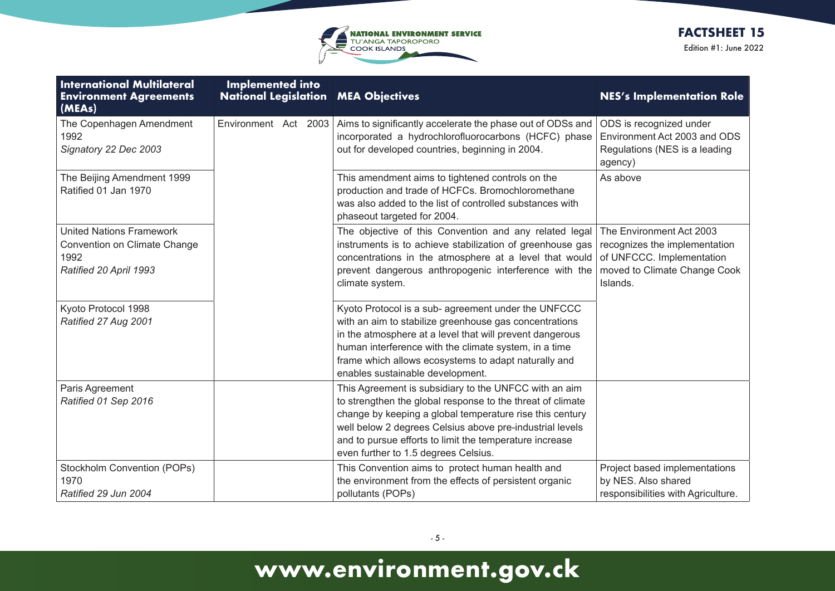

| <b>International Multilateral</b><br><b>Environment Agreements</b><br>(MEAs)                      | <b>Implemented into</b><br><b>National Legislation MEA Objectives</b> |                                                                                                                                                                                                                                                                                                                                                | <b>NES's Implementation Role</b>                                                                                                   |
|---------------------------------------------------------------------------------------------------|-----------------------------------------------------------------------|------------------------------------------------------------------------------------------------------------------------------------------------------------------------------------------------------------------------------------------------------------------------------------------------------------------------------------------------|------------------------------------------------------------------------------------------------------------------------------------|
| The Copenhagen Amendment<br>1992<br>Signatory 22 Dec 2003                                         | Environment Act 2003                                                  | Aims to significantly accelerate the phase out of ODSs and<br>incorporated a hydrochlorofluorocarbons (HCFC) phase<br>out for developed countries, beginning in 2004.                                                                                                                                                                          | ODS is recognized under<br>Environment Act 2003 and ODS<br>Regulations (NES is a leading<br>agency)                                |
| The Beijing Amendment 1999<br>Ratified 01 Jan 1970                                                |                                                                       | This amendment aims to tightened controls on the<br>production and trade of HCFCs. Bromochloromethane<br>was also added to the list of controlled substances with<br>phaseout targeted for 2004.                                                                                                                                               | As above                                                                                                                           |
| <b>United Nations Framework</b><br>Convention on Climate Change<br>1992<br>Ratified 20 April 1993 |                                                                       | The objective of this Convention and any related legal<br>instruments is to achieve stabilization of greenhouse gas<br>concentrations in the atmosphere at a level that would<br>prevent dangerous anthropogenic interference with the<br>climate system.                                                                                      | The Environment Act 2003<br>recognizes the implementation<br>of UNFCCC. Implementation<br>moved to Climate Change Cook<br>Islands. |
| Kyoto Protocol 1998<br>Ratified 27 Aug 2001                                                       |                                                                       | Kyoto Protocol is a sub- agreement under the UNFCCC<br>with an aim to stabilize greenhouse gas concentrations<br>in the atmosphere at a level that will prevent dangerous<br>human interference with the climate system, in a time<br>frame which allows ecosystems to adapt naturally and<br>enables sustainable development.                 |                                                                                                                                    |
| Paris Agreement<br>Ratified 01 Sep 2016                                                           |                                                                       | This Agreement is subsidiary to the UNFCC with an aim<br>to strengthen the global response to the threat of climate<br>change by keeping a global temperature rise this century<br>well below 2 degrees Celsius above pre-industrial levels<br>and to pursue efforts to limit the temperature increase<br>even further to 1.5 degrees Celsius. |                                                                                                                                    |
| Stockholm Convention (POPs)<br>1970<br>Ratified 29 Jun 2004                                       |                                                                       | This Convention aims to protect human health and<br>the environment from the effects of persistent organic<br>pollutants (POPs)                                                                                                                                                                                                                | Project based implementations<br>by NES. Also shared<br>responsibilities with Agriculture.                                         |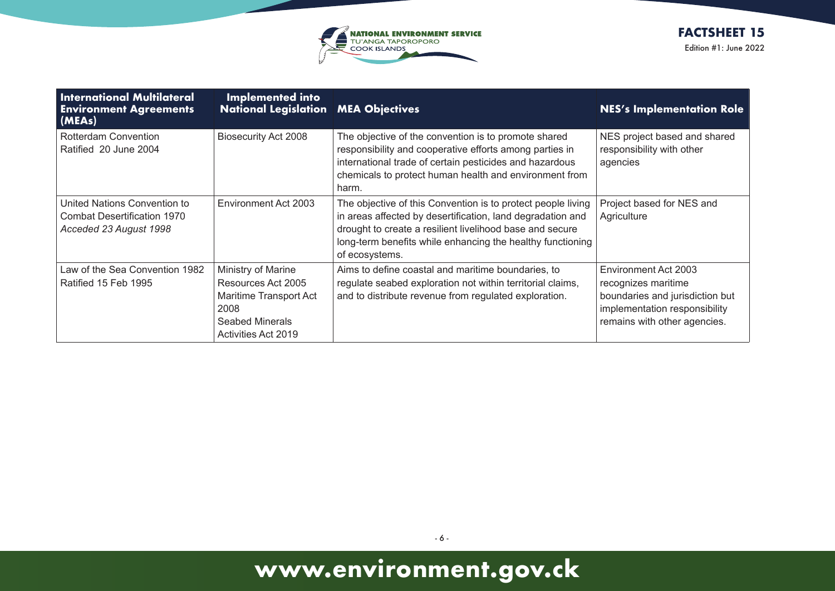

| <b>International Multilateral</b><br><b>Environment Agreements</b><br>(MEAs)                 | <b>Implemented into</b><br><b>National Legislation MEA Objectives</b>                                                              |                                                                                                                                                                                                                                                                        | <b>NES's Implementation Role</b>                                                                                                                |
|----------------------------------------------------------------------------------------------|------------------------------------------------------------------------------------------------------------------------------------|------------------------------------------------------------------------------------------------------------------------------------------------------------------------------------------------------------------------------------------------------------------------|-------------------------------------------------------------------------------------------------------------------------------------------------|
| Rotterdam Convention<br>Ratified 20 June 2004                                                | <b>Biosecurity Act 2008</b>                                                                                                        | The objective of the convention is to promote shared<br>responsibility and cooperative efforts among parties in<br>international trade of certain pesticides and hazardous<br>chemicals to protect human health and environment from<br>harm.                          | NES project based and shared<br>responsibility with other<br>agencies                                                                           |
| United Nations Convention to<br><b>Combat Desertification 1970</b><br>Acceded 23 August 1998 | Environment Act 2003                                                                                                               | The objective of this Convention is to protect people living<br>in areas affected by desertification, land degradation and<br>drought to create a resilient livelihood base and secure<br>long-term benefits while enhancing the healthy functioning<br>of ecosystems. | Project based for NES and<br>Agriculture                                                                                                        |
| Law of the Sea Convention 1982<br>Ratified 15 Feb 1995                                       | Ministry of Marine<br>Resources Act 2005<br>Maritime Transport Act<br>2008<br><b>Seabed Minerals</b><br><b>Activities Act 2019</b> | Aims to define coastal and maritime boundaries, to<br>regulate seabed exploration not within territorial claims,<br>and to distribute revenue from regulated exploration.                                                                                              | Environment Act 2003<br>recognizes maritime<br>boundaries and jurisdiction but<br>implementation responsibility<br>remains with other agencies. |